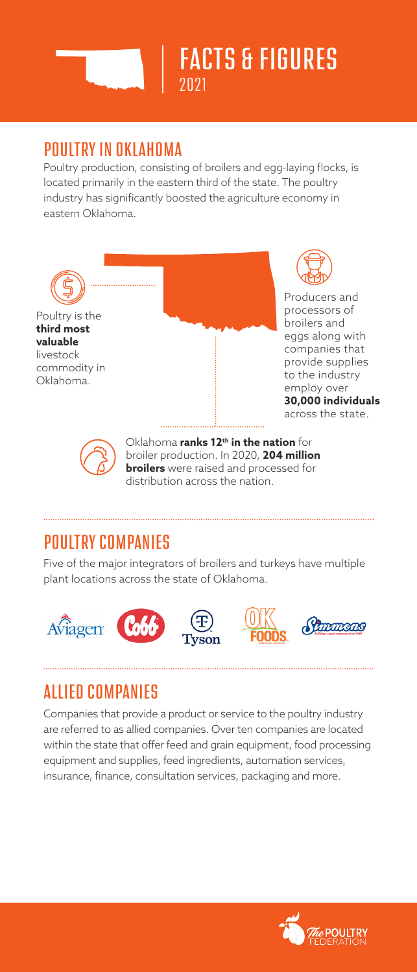

## POULTRY IN OKLAHOMA

Poultry production, consisting of broilers and egg-laying flocks, is located primarily in the eastern third of the state. The poultry industry has significantly boosted the agriculture economy in eastern Oklahoma.



**broilers** were raised and processed for distribution across the nation.

## POULTRY COMPANIES

Five of the major integrators of broilers and turkeys have multiple plant locations across the state of Oklahoma.









# ALLIED COMPANIES

Companies that provide a product or service to the poultry industry are referred to as allied companies. Over ten companies are located within the state that offer feed and grain equipment, food processing equipment and supplies, feed ingredients, automation services, insurance, finance, consultation services, packaging and more.